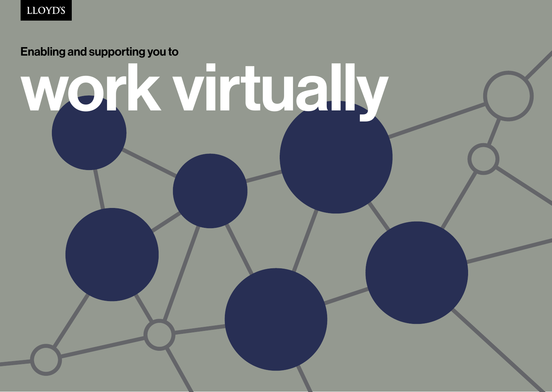Enabling and supporting you to

# work virtually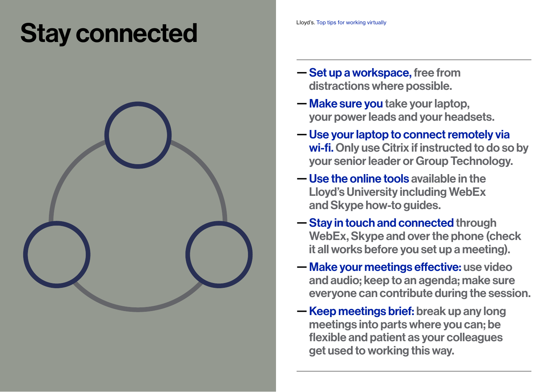### Stay connected



- Set up a workspace, free from distractions where possible.
- Make sure you take your laptop, your power leads and your headsets.
- Use your laptop to connect remotely via wi-fi. Only use Citrix if instructed to do so by your senior leader or Group Technology.
- Use the online tools available in the Lloyd's University including WebEx and Skype how-to guides.
- Stay in touch and connected through WebEx, Skype and over the phone (check it all works before you set up a meeting).
- Make your meetings effective: use video and audio; keep to an agenda; make sure everyone can contribute during the session.
- Keep meetings brief: break up any long meetings into parts where you can; be flexible and patient as your colleagues get used to working this way.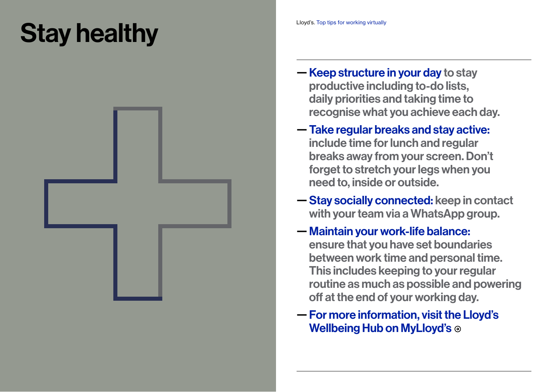## Stay healthy



- Keep structure in your day to stay productive including to-do lists, daily priorities and taking time to recognise what you achieve each day.
- Take regular breaks and stay active: include time for lunch and regular breaks away from your screen. Don't forget to stretch your legs when you need to, inside or outside.
- Stay socially connected: keep in contact with your team via a WhatsApp group.
- Maintain your work-life balance: ensure that you have set boundaries between work time and personal time. This includes keeping to your regular routine as much as possible and powering off at the end of your working day.
- [For more information, visit the Lloyd's](https://lloydsoflondon.sharepoint.com/sites/intranet/SitePages/Your-health,-mental-health-and-wellbeing-at-work.aspx)  [Wellbeing Hub on MyLloyd's](https://lloydsoflondon.sharepoint.com/sites/intranet/SitePages/Your-health,-mental-health-and-wellbeing-at-work.aspx) ⊕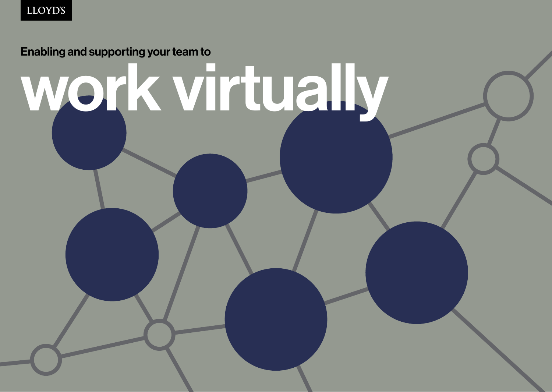# Enabling and supporting your team to work virtually